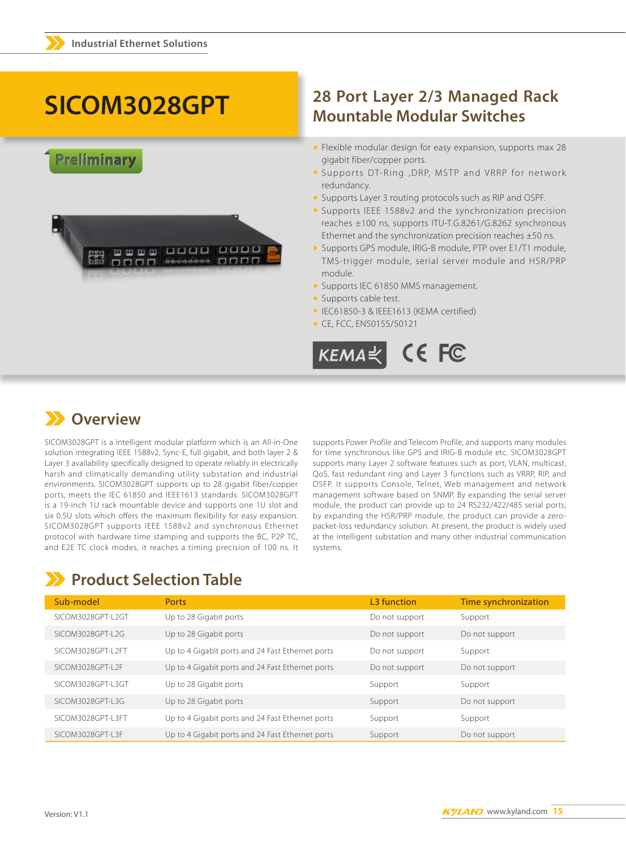# SICOM3028GPT

### Preliminary



### 28 Port Layer 2/3 Managed Rack **Mountable Modular Switches**

- Flexible modular design for easy expansion, supports max 28 gigabit fiber/copper ports.
- . Supports DT-Ring , DRP, MSTP and VRRP for network redundancy.
- Supports Layer 3 routing protocols such as RIP and OSPF.
- Supports IEEE 1588v2 and the synchronization precision reaches ±100 ns, supports ITU-T.G.8261/G.8262 synchronous Ethernet and the synchronization precision reaches  $\pm 50$  ns.
- Supports GPS module, IRIG-B module, PTP over E1/T1 module, TMS-trigger module, serial server module and HSR/PRP module.
- Supports IEC 61850 MMS management.
- Supports cable test.
- · IEC61850-3 & IEEE1613 (KEMA certified)
- CE, FCC, EN50155/50121



### **XX** Overview

SICOM3028GPT is a intelligent modular platform which is an All-in-One solution integrating IEEE 1588v2, Sync-E, full gigabit, and both layer 2 & Layer 3 availability specifically designed to operate reliably in electrically harsh and climatically demanding utility substation and industrial environments. SICOM3028GPT supports up to 28 gigabit fiber/copper ports, meets the IEC 61850 and IEEE1613 standards. SICOM3028GPT is a 19-inch 1U rack mountable device and supports one 1U slot and six 0.5U slots which offers the maximum flexibility for easy expansion. SICOM3028GPT supports IEEE 1588v2 and synchronous Ethernet protocol with hardware time stamping and supports the BC, P2P TC, and E2E TC clock modes, it reaches a timing precision of 100 ns. It supports Power Profile and Telecom Profile, and supports many modules for time synchronous like GPS and IRIG-B module etc. SICOM3028GPT supports many Layer 2 software features such as port, VLAN, multicast, QoS, fast redundant ring and Layer 3 functions such as VRRP, RIP, and OSFP. It supports Console, Telnet, Web management and network management software based on SNMP. By expanding the serial server module, the product can provide up to 24 RS232/422/485 serial ports; by expanding the HSR/PRP module, the product can provide a zeropacket-loss redundancy solution. At present, the product is widely used at the intelligent substation and many other industrial communication systems.

## >> Product Selection Table

| Sub-model         | Ports                                            | L <sub>3</sub> function | Time synchronization |
|-------------------|--------------------------------------------------|-------------------------|----------------------|
| SICOM3028GPT-L2GT | Up to 28 Gigabit ports                           | Do not support          | Support              |
| SICOM3028GPT-L2G  | Up to 28 Gigabit ports                           | Do not support          | Do not support       |
| SICOM3028GPT-L2FT | Up to 4 Gigabit ports and 24 Fast Ethernet ports | Do not support          | Support              |
| SICOM3028GPT-L2F  | Up to 4 Gigabit ports and 24 Fast Ethernet ports | Do not support          | Do not support       |
| SICOM3028GPT-L3GT | Up to 28 Gigabit ports                           | Support                 | Support              |
| SICOM3028GPT-L3G  | Up to 28 Gigabit ports                           | Support                 | Do not support       |
| SICOM3028GPT-L3FT | Up to 4 Gigabit ports and 24 Fast Ethernet ports | Support                 | Support              |
| SICOM3028GPT-L3F  | Up to 4 Gigabit ports and 24 Fast Ethernet ports | Support                 | Do not support       |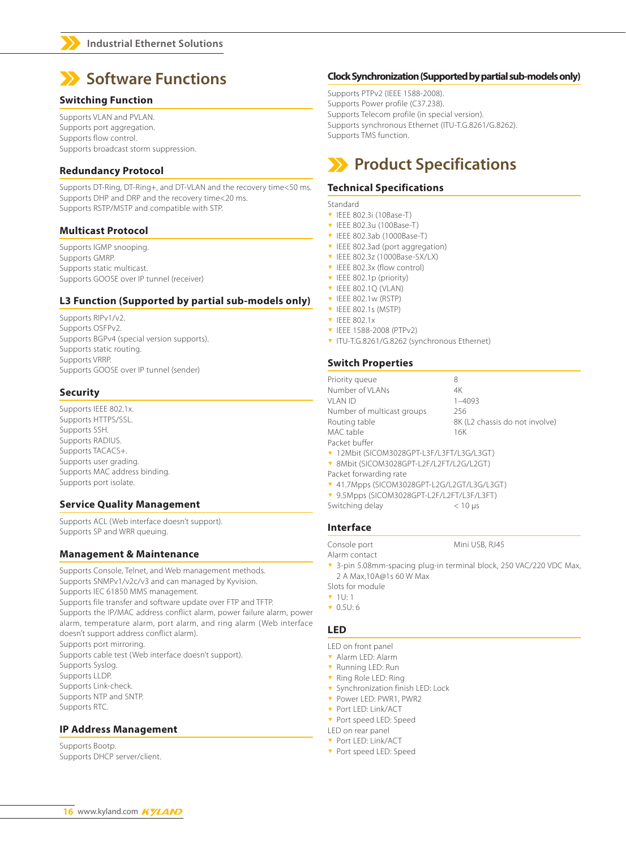

#### **Switching Function**

Supports VLAN and PVLAN. Supports port aggregation. Supports flow control. Supports broadcast storm suppression.

#### **Redundancy Protocol**

Supports DT-Ring, DT-Ring+, and DT-VLAN and the recovery time<50 ms. Supports DHP and DRP and the recovery time<20 ms. Supports RSTP/MSTP and compatible with STP.

#### **Multicast Protocol**

Supports IGMP snooping. Supports GMRP. Supports static multicast. Supports GOOSE over IP tunnel (receiver)

#### **L3 Function (Supported by partial sub-models only)**

Supports RIPv1/v2. Supports OSFPv2. Supports BGPv4 (special version supports). Supports static routing. Supports VRRP. Supports GOOSE over IP tunnel (sender)

#### **Security**

Supports IEEE 802.1x. Supports HTTPS/SSL. Supports SSH. Supports RADIUS. Supports TACACS+. Supports user grading. Supports MAC address binding. Supports port isolate.

#### **Service Quality Management**

Supports ACL (Web interface doesn't support). Supports SP and WRR queuing.

#### **Management & Maintenance**

Supports Console, Telnet, and Web management methods. Supports SNMPv1/v2c/v3 and can managed by Kyvision. Supports IEC 61850 MMS management. Supports file transfer and software update over FTP and TFTP. Supports the IP/MAC address conflict alarm, power failure alarm, power alarm, temperature alarm, port alarm, and ring alarm (Web interface doesn't support address conflict alarm).

Supports port mirroring. Supports cable test (Web interface doesn't support). Supports Syslog. Supports LLDP. Supports Link-check. Supports NTP and SNTP. Supports RTC.

#### **IP Address Management**

Supports Bootp. Supports DHCP server/client.

#### **Clock Synchronization (Supported by partial sub-models only)**

Supports PTPv2 (IEEE 1588-2008). Supports Power profile (C37.238). Supports Telecom profile (in special version). Supports synchronous Ethernet (ITU-T.G.8261/G.8262). Supports TMS function.

### **Product Specifications**

#### **Technical Specifications**

- **Standard**
- <sup>ź</sup> IEEE 802.3i (10Base-T)
- **v** IEEE 802.3u (100Base-T)
- <sup>ź</sup> IEEE 802.3ab (1000Base-T)
- ▼ IEEE 802.3ad (port aggregation)
- <sup>ź</sup> IEEE 802.3z (1000Base-SX/LX)
- **v** IEEE 802.3x (flow control)
- **v** IEEE 802.1p (priority)
- **v** IEEE 802.1Q (VLAN)
- **v** IEEE 802.1w (RSTP) <sup>ź</sup> IEEE 802.1s (MSTP)
- **v** IEEE 802.1x
- <sup>ź</sup> IEEE 1588-2008 (PTPv2)
- <sup>ź</sup> ITU-T.G.8261/G.8262 (synchronous Ethernet)

#### **Switch Properties**

| Priority queue                                   | 8                              |  |  |
|--------------------------------------------------|--------------------------------|--|--|
| Number of VLANs                                  | 4K                             |  |  |
| VI AN ID                                         | $1 - 4093$                     |  |  |
| Number of multicast groups                       | 256                            |  |  |
| Routing table                                    | 8K (L2 chassis do not involve) |  |  |
| MAC table                                        | 16K                            |  |  |
| Packet buffer                                    |                                |  |  |
| ▼ 12Mbit (SICOM3028GPT-L3F/L3FT/L3G/L3GT)        |                                |  |  |
| ▼ 8Mbit (SICOM3028GPT-L2F/L2FT/L2G/L2GT)         |                                |  |  |
| Packet forwarding rate                           |                                |  |  |
| $= 11.7$ Mens (CICOM2000CDT LOC /LOCT/LOC /LOCT) |                                |  |  |

- <sup>ź</sup> 41.7Mpps (SICOM3028GPT-L2G/L2GT/L3G/L3GT)
- <sup>ź</sup> 9.5Mpps (SICOM3028GPT-L2F/L2FT/L3F/L3FT)
- Switching delay < 10 μs

#### **Interface**

Console port Mini USB, RJ45

Alarm contact

3-pin 5.08mm-spacing plug-in terminal block, 250 VAC/220 VDC Max, 2 A Max,10A@1s 60 W Max

Slots for module

- $\blacktriangledown$  1U: 1
- <sup>ź</sup> 0.5U: 6

#### **LED**

- LED on front panel
- **v** Alarm LED: Alarm
- **v** Running LED: Run
- <sup>ź</sup> Ring Role LED: Ring
- **v** Synchronization finish LED: Lock
- <sup>ź</sup> Power LED: PWR1, PWR2
- **v** Port LED: Link/ACT
- **v** Port speed LED: Speed
- LED on rear panel
- <sup>ź</sup> Port LED: Link/ACT
- **v** Port speed LED: Speed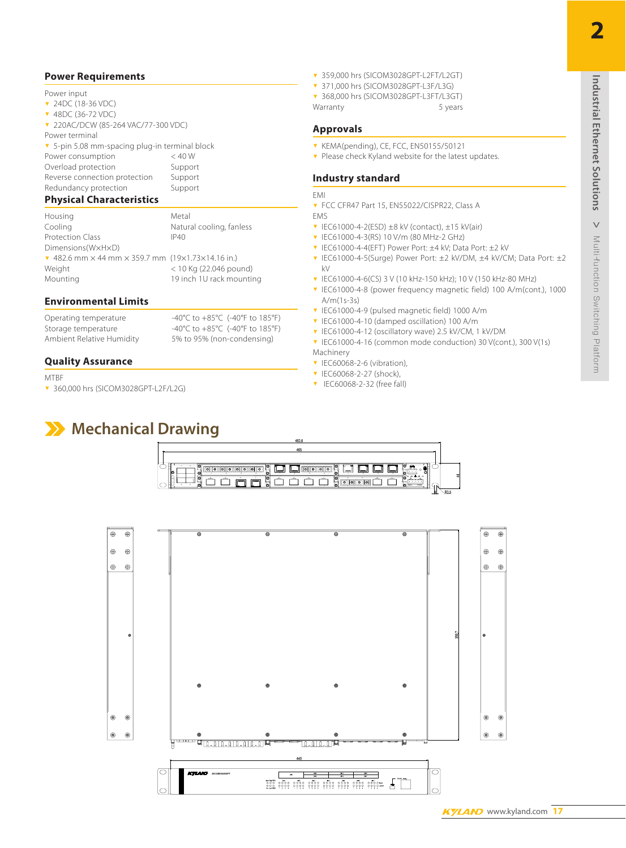#### **Power Requirements**

#### Power input

- ▼ 24DC (18-36 VDC)
- <sup>ź</sup> 48DC (36-72 VDC)
- <sup>ź</sup> 220AC/DCW (85-264 VAC/77-300 VDC)
- Power terminal

**v** 5-pin 5.08 mm-spacing plug-in terminal block Power consumption < 40 W Overload protection Support

Reverse connection protection Support<br>Redundancy protection Support Redundancy protection

#### **Physical Characteristics**

Housing Metal Cooling **Natural cooling, fanless** Protection Class IP40 Dimensions(W×H×D)  $\sqrt{482.6 \text{ mm}} \times 44 \text{ mm} \times 359.7 \text{ mm}$  (19 $\times$ 1.73 $\times$ 14.16 in.) Weight < 10 Kg (22.046 pound) Mounting 19 inch 1U rack mounting

#### **Environmental Limits**

Operating temperature -40°C to +85°C (-40°F to 185°F)

Storage temperature -40°C to +85°C (-40°F to 185°F) Ambient Relative Humidity 5% to 95% (non-condensing)

#### **Quality Assurance**

**MTRF** 

- <sup>ź</sup> 360,000 hrs (SICOM3028GPT-L2F/L2G)
- **Mechanical Drawing**
- <sup>ź</sup> 359,000 hrs (SICOM3028GPT-L2FT/L2GT)
- <sup>ź</sup> 371,000 hrs (SICOM3028GPT-L3F/L3G)
- <sup>ź</sup> 368,000 hrs (SICOM3028GPT-L3FT/L3GT) Warranty 5 years

#### **Approvals**

- <sup>ź</sup> KEMA(pending), CE, FCC, EN50155/50121
- **v** Please check Kyland website for the latest updates.

#### **Industry standard**

#### EMI

- ▼ FCC CFR47 Part 15, EN55022/CISPR22, Class A EMS
- $\overline{v}$  IEC61000-4-2(ESD) ±8 kV (contact), ±15 kV(air)
- <sup>ź</sup> IEC61000-4-3(RS) 10 V/m (80 MHz-2 GHz)
- <sup>ź</sup> IEC61000-4-4(EFT) Power Port: ±4 kV; Data Port: ±2 kV
- <sup>ź</sup> IEC61000-4-5(Surge) Power Port: ±2 kV/DM, ±4 kV/CM; Data Port: ±2  $kV$
- <sup>ź</sup> IEC61000-4-6(CS) 3 V (10 kHz-150 kHz); 10 V (150 kHz-80 MHz)
- **v** IEC61000-4-8 (power frequency magnetic field) 100 A/m(cont.), 1000 A/m(1s-3s)
- <sup>ź</sup> IEC61000-4-9 (pulsed magnetic field) 1000 A/m
- <sup>ź</sup> IEC61000-4-10 (damped oscillation) 100 A/m
- <sup>ź</sup> IEC61000-4-12 (oscillatory wave) 2.5 kV/CM, 1 kV/DM
- **v** IEC61000-4-16 (common mode conduction) 30 V(cont.), 300 V(1s) Machinery
- $\blacktriangledown$  IEC60068-2-6 (vibration),
- $\triangledown$  IEC60068-2-27 (shock),
- **v** IEC60068-2-32 (free fall)



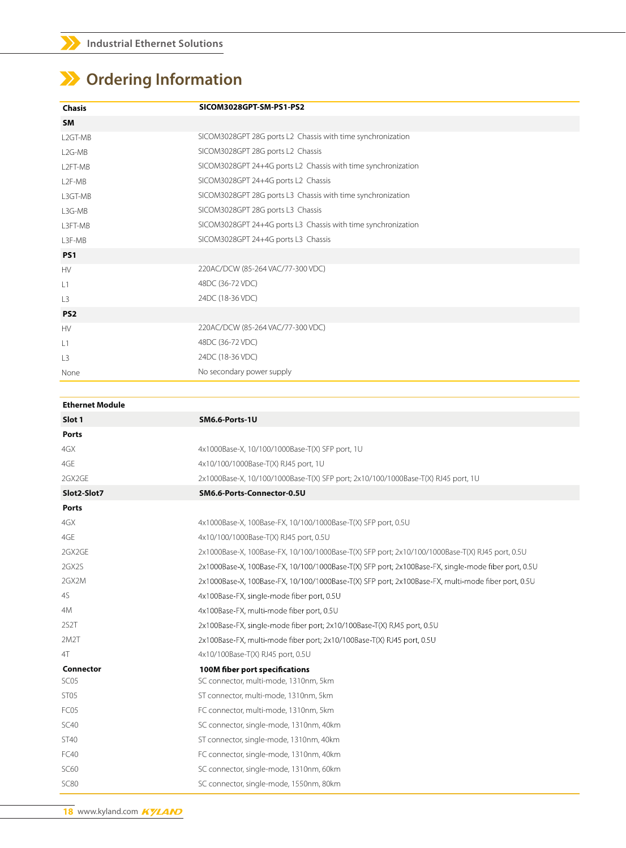## **Ordering Information**

| <b>Chasis</b>       | SICOM3028GPT-SM-PS1-PS2                                       |
|---------------------|---------------------------------------------------------------|
| <b>SM</b>           |                                                               |
| L2GT-MB             | SICOM3028GPT 28G ports L2 Chassis with time synchronization   |
| L <sub>2</sub> G-MB | SICOM3028GPT 28G ports L2 Chassis                             |
| L2FT-MB             | SICOM3028GPT 24+4G ports L2 Chassis with time synchronization |
| L <sub>2</sub> F-MB | SICOM3028GPT 24+4G ports L2 Chassis                           |
| L3GT-MB             | SICOM3028GPT 28G ports L3 Chassis with time synchronization   |
| L3G-MB              | SICOM3028GPT 28G ports L3 Chassis                             |
| L3FT-MB             | SICOM3028GPT 24+4G ports L3 Chassis with time synchronization |
| L3F-MB              | SICOM3028GPT 24+4G ports L3 Chassis                           |
| PS <sub>1</sub>     |                                                               |
| <b>HV</b>           | 220AC/DCW (85-264 VAC/77-300 VDC)                             |
| L1                  | 48DC (36-72 VDC)                                              |
| L <sub>3</sub>      | 24DC (18-36 VDC)                                              |
| PS <sub>2</sub>     |                                                               |
| <b>HV</b>           | 220AC/DCW (85-264 VAC/77-300 VDC)                             |
| L1                  | 48DC (36-72 VDC)                                              |
| L3                  | 24DC (18-36 VDC)                                              |
| None                | No secondary power supply                                     |

| <b>Ethernet Module</b> |                                                                                                     |  |  |  |
|------------------------|-----------------------------------------------------------------------------------------------------|--|--|--|
| Slot 1                 | SM6.6-Ports-1U                                                                                      |  |  |  |
| <b>Ports</b>           |                                                                                                     |  |  |  |
| 4GX                    | 4x1000Base-X, 10/100/1000Base-T(X) SFP port, 1U                                                     |  |  |  |
| 4GE                    | 4x10/100/1000Base-T(X) RJ45 port, 1U                                                                |  |  |  |
| 2GX2GE                 | 2x1000Base-X, 10/100/1000Base-T(X) SFP port; 2x10/100/1000Base-T(X) RJ45 port, 1U                   |  |  |  |
| Slot2-Slot7            | SM6.6-Ports-Connector-0.5U                                                                          |  |  |  |
| <b>Ports</b>           |                                                                                                     |  |  |  |
| 4GX                    | 4x1000Base-X, 100Base-FX, 10/100/1000Base-T(X) SFP port, 0.5U                                       |  |  |  |
| 4GE                    | 4x10/100/1000Base-T(X) RJ45 port, 0.5U                                                              |  |  |  |
| 2GX2GE                 | 2x1000Base-X, 100Base-FX, 10/100/1000Base-T(X) SFP port; 2x10/100/1000Base-T(X) RJ45 port, 0.5U     |  |  |  |
| 2GX2S                  | 2x1000Base-X, 100Base-FX, 10/100/1000Base-T(X) SFP port; 2x100Base-FX, single-mode fiber port, 0.5U |  |  |  |
| 2GX2M                  | 2x1000Base-X, 100Base-FX, 10/100/1000Base-T(X) SFP port; 2x100Base-FX, multi-mode fiber port, 0.5U  |  |  |  |
| 45                     | 4x100Base-FX, single-mode fiber port, 0.5U                                                          |  |  |  |
| 4M                     | 4x100Base-FX, multi-mode fiber port, 0.5U                                                           |  |  |  |
| 2S <sub>2</sub> T      | 2x100Base-FX, single-mode fiber port; 2x10/100Base-T(X) RJ45 port, 0.5U                             |  |  |  |
| 2M2T                   | 2x100Base-FX, multi-mode fiber port; 2x10/100Base-T(X) RJ45 port, 0.5U                              |  |  |  |
| 4T                     | 4x10/100Base-T(X) RJ45 port, 0.5U                                                                   |  |  |  |
| Connector              | 100M fiber port specifications                                                                      |  |  |  |
| SC <sub>05</sub>       | SC connector, multi-mode, 1310nm, 5km                                                               |  |  |  |
| ST <sub>05</sub>       | ST connector, multi-mode, 1310nm, 5km                                                               |  |  |  |
| FC05                   | FC connector, multi-mode, 1310nm, 5km                                                               |  |  |  |
| SC40                   | SC connector, single-mode, 1310nm, 40km                                                             |  |  |  |
| <b>ST40</b>            | ST connector, single-mode, 1310nm, 40km                                                             |  |  |  |
| FC40                   | FC connector, single-mode, 1310nm, 40km                                                             |  |  |  |
| <b>SC60</b>            | SC connector, single-mode, 1310nm, 60km                                                             |  |  |  |
| <b>SC80</b>            | SC connector, single-mode, 1550nm, 80km                                                             |  |  |  |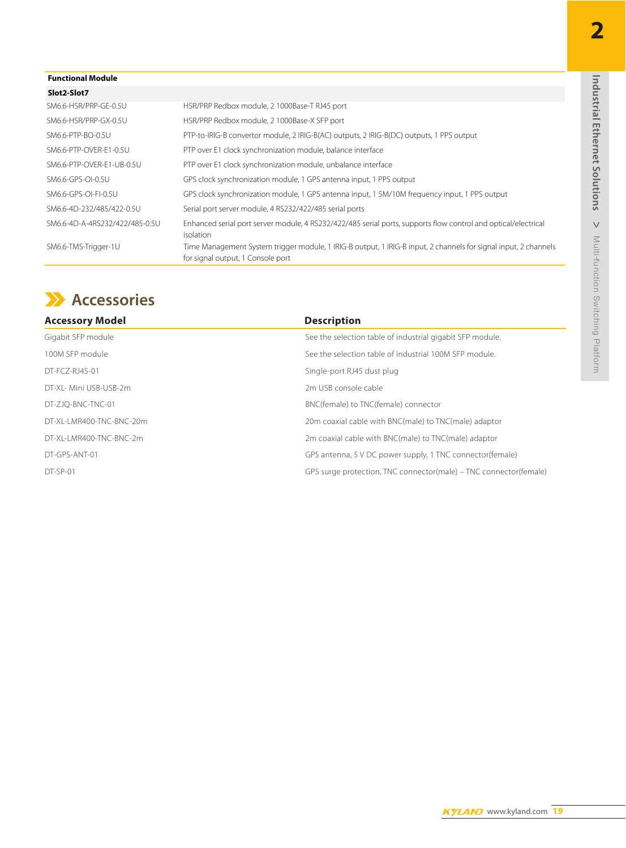**2**

#### **Functional Module**

| Slot2-Slot7                    |                                                                                                                                                      |
|--------------------------------|------------------------------------------------------------------------------------------------------------------------------------------------------|
| SM6.6-HSR/PRP-GE-0.5U          | HSR/PRP Redbox module, 2 1000Base-T RJ45 port                                                                                                        |
| SM6.6-HSR/PRP-GX-0.5U          | HSR/PRP Redbox module, 2 1000Base-X SFP port                                                                                                         |
| SM6.6-PTP-BO-0.5U              | PTP-to-IRIG-B convertor module, 2 IRIG-B(AC) outputs, 2 IRIG-B(DC) outputs, 1 PPS output                                                             |
| SM6.6-PTP-OVER-E1-0.5U         | PTP over E1 clock synchronization module, balance interface                                                                                          |
| SM6.6-PTP-OVER-E1-UB-0.5U      | PTP over E1 clock synchronization module, unbalance interface                                                                                        |
| SM6.6-GPS-OI-0.5U              | GPS clock synchronization module, 1 GPS antenna input, 1 PPS output                                                                                  |
| SM6.6-GPS-OI-FI-0.5U           | GPS clock synchronization module, 1 GPS antenna input, 1 5M/10M frequency input, 1 PPS output                                                        |
| SM6.6-4D-232/485/422-0.5U      | Serial port server module, 4 RS232/422/485 serial ports                                                                                              |
| SM6.6-4D-A-4RS232/422/485-0.5U | Enhanced serial port server module, 4 RS232/422/485 serial ports, supports flow control and optical/electrical<br>isolation                          |
| SM6.6-TMS-Trigger-1U           | Time Management System trigger module, 1 IRIG-B output, 1 IRIG-B input, 2 channels for signal input, 2 channels<br>for signal output, 1 Console port |

## **Accessories**

| <b>Description</b>                                                |
|-------------------------------------------------------------------|
| See the selection table of industrial gigabit SFP module.         |
| See the selection table of industrial 100M SEP module.            |
| Single-port RJ45 dust plug                                        |
| 2m USB console cable                                              |
| BNC(female) to TNC(female) connector                              |
| 20m coaxial cable with BNC(male) to TNC(male) adaptor             |
| 2m coaxial cable with BNC(male) to TNC(male) adaptor              |
| GPS antenna, 5 V DC power supply, 1 TNC connector(female)         |
| GPS surge protection, TNC connector(male) – TNC connector(female) |
|                                                                   |